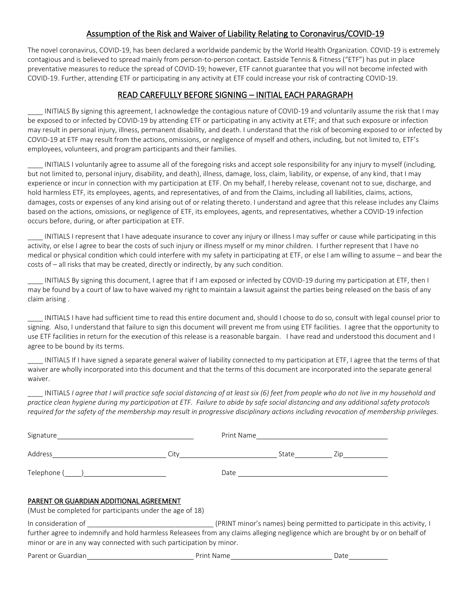## Assumption of the Risk and Waiver of Liability Relating to Coronavirus/COVID-19

The novel coronavirus, COVID-19, has been declared a worldwide pandemic by the World Health Organization. COVID-19 is extremely contagious and is believed to spread mainly from person-to-person contact. Eastside Tennis & Fitness ("ETF") has put in place preventative measures to reduce the spread of COVID-19; however, ETF cannot guarantee that you will not become infected with COVID-19. Further, attending ETF or participating in any activity at ETF could increase your risk of contracting COVID-19.

# READ CAREFULLY BEFORE SIGNING – INITIAL EACH PARAGRAPH

INITIALS By signing this agreement, I acknowledge the contagious nature of COVID-19 and voluntarily assume the risk that I may be exposed to or infected by COVID-19 by attending ETF or participating in any activity at ETF; and that such exposure or infection may result in personal injury, illness, permanent disability, and death. I understand that the risk of becoming exposed to or infected by COVID-19 at ETF may result from the actions, omissions, or negligence of myself and others, including, but not limited to, ETF's employees, volunteers, and program participants and their families.

INITIALS I voluntarily agree to assume all of the foregoing risks and accept sole responsibility for any injury to myself (including, but not limited to, personal injury, disability, and death), illness, damage, loss, claim, liability, or expense, of any kind, that I may experience or incur in connection with my participation at ETF. On my behalf, I hereby release, covenant not to sue, discharge, and hold harmless ETF, its employees, agents, and representatives, of and from the Claims, including all liabilities, claims, actions, damages, costs or expenses of any kind arising out of or relating thereto. I understand and agree that this release includes any Claims based on the actions, omissions, or negligence of ETF, its employees, agents, and representatives, whether a COVID-19 infection occurs before, during, or after participation at ETF.

INITIALS I represent that I have adequate insurance to cover any injury or illness I may suffer or cause while participating in this activity, or else I agree to bear the costs of such injury or illness myself or my minor children. I further represent that I have no medical or physical condition which could interfere with my safety in participating at ETF, or else I am willing to assume – and bear the costs of – all risks that may be created, directly or indirectly, by any such condition.

INITIALS By signing this document, I agree that if I am exposed or infected by COVID-19 during my participation at ETF, then I may be found by a court of law to have waived my right to maintain a lawsuit against the parties being released on the basis of any claim arising .

INITIALS I have had sufficient time to read this entire document and, should I choose to do so, consult with legal counsel prior to signing. Also, I understand that failure to sign this document will prevent me from using ETF facilities. I agree that the opportunity to use ETF facilities in return for the execution of this release is a reasonable bargain. I have read and understood this document and I agree to be bound by its terms.

INITIALS If I have signed a separate general waiver of liability connected to my participation at ETF, I agree that the terms of that waiver are wholly incorporated into this document and that the terms of this document are incorporated into the separate general waiver.

INITIALS *I agree that I will practice safe social distancing of at least six (6) feet from people who do not live in my household and practice clean hygiene during my participation at ETF. Failure to abide by safe social distancing and any additional safety protocols required for the safety of the membership may result in progressive disciplinary actions including revocation of membership privileges.*

| Signature and the state of the state of the state of the state of the state of the state of the state of the state of the state of the state of the state of the state of the state of the state of the state of the state of |                                      | Print Name and the state of the state of the state of the state of the state of the state of the state of the |           |
|-------------------------------------------------------------------------------------------------------------------------------------------------------------------------------------------------------------------------------|--------------------------------------|---------------------------------------------------------------------------------------------------------------|-----------|
|                                                                                                                                                                                                                               | City <u>________________________</u> |                                                                                                               | State Zip |
|                                                                                                                                                                                                                               |                                      | Date $\qquad \qquad$                                                                                          |           |
| PARENT OR GUARDIAN ADDITIONAL AGREEMENT<br>(Must be completed for participants under the age of 18)                                                                                                                           |                                      |                                                                                                               |           |
| further agree to indemnify and hold harmless Releasees from any claims alleging negligence which are brought by or on behalf of<br>minor or are in any way connected with such participation by minor.                        |                                      |                                                                                                               |           |
| Parent or Guardian                                                                                                                                                                                                            |                                      |                                                                                                               | Date      |